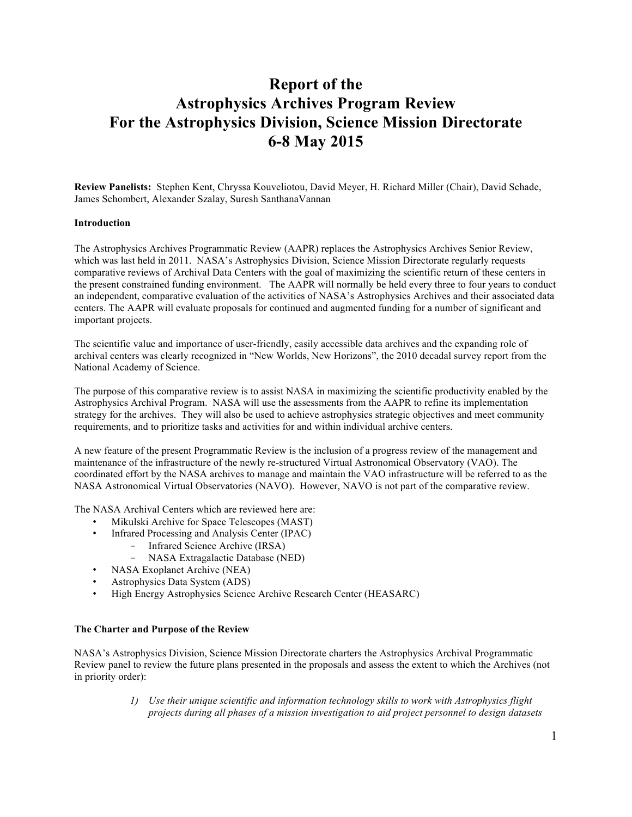# **Report of the Astrophysics Archives Program Review For the Astrophysics Division, Science Mission Directorate 6-8 May 2015**

**Review Panelists:** Stephen Kent, Chryssa Kouveliotou, David Meyer, H. Richard Miller (Chair), David Schade, James Schombert, Alexander Szalay, Suresh SanthanaVannan

#### **Introduction**

The Astrophysics Archives Programmatic Review (AAPR) replaces the Astrophysics Archives Senior Review, which was last held in 2011. NASA's Astrophysics Division, Science Mission Directorate regularly requests comparative reviews of Archival Data Centers with the goal of maximizing the scientific return of these centers in the present constrained funding environment. The AAPR will normally be held every three to four years to conduct an independent, comparative evaluation of the activities of NASA's Astrophysics Archives and their associated data centers. The AAPR will evaluate proposals for continued and augmented funding for a number of significant and important projects.

The scientific value and importance of user-friendly, easily accessible data archives and the expanding role of archival centers was clearly recognized in "New Worlds, New Horizons", the 2010 decadal survey report from the National Academy of Science.

The purpose of this comparative review is to assist NASA in maximizing the scientific productivity enabled by the Astrophysics Archival Program. NASA will use the assessments from the AAPR to refine its implementation strategy for the archives. They will also be used to achieve astrophysics strategic objectives and meet community requirements, and to prioritize tasks and activities for and within individual archive centers.

A new feature of the present Programmatic Review is the inclusion of a progress review of the management and maintenance of the infrastructure of the newly re-structured Virtual Astronomical Observatory (VAO). The coordinated effort by the NASA archives to manage and maintain the VAO infrastructure will be referred to as the NASA Astronomical Virtual Observatories (NAVO). However, NAVO is not part of the comparative review.

The NASA Archival Centers which are reviewed here are:

- Mikulski Archive for Space Telescopes (MAST)
- Infrared Processing and Analysis Center (IPAC)
	- Infrared Science Archive (IRSA)
	- NASA Extragalactic Database (NED)
- NASA Exoplanet Archive (NEA)
- Astrophysics Data System (ADS)
- High Energy Astrophysics Science Archive Research Center (HEASARC)

#### **The Charter and Purpose of the Review**

NASA's Astrophysics Division, Science Mission Directorate charters the Astrophysics Archival Programmatic Review panel to review the future plans presented in the proposals and assess the extent to which the Archives (not in priority order):

> *1) Use their unique scientific and information technology skills to work with Astrophysics flight projects during all phases of a mission investigation to aid project personnel to design datasets*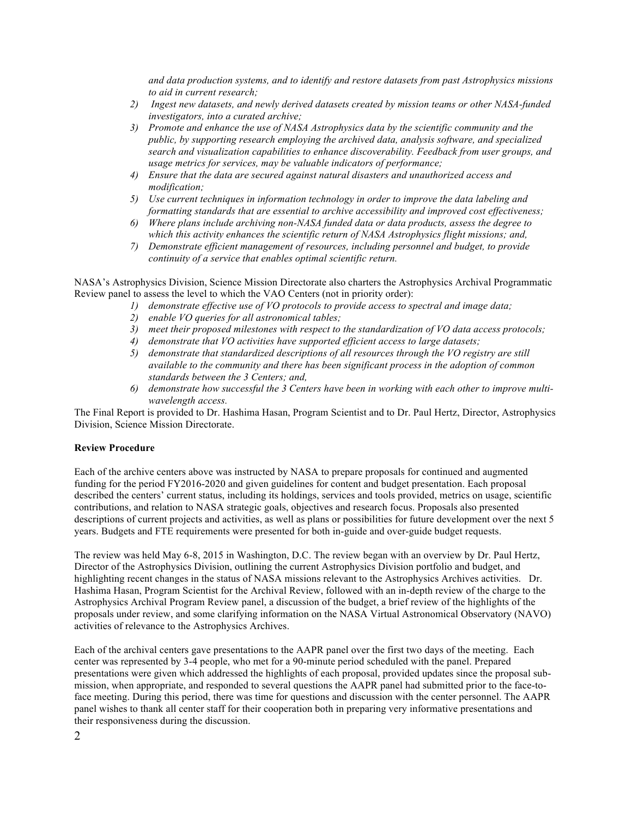*and data production systems, and to identify and restore datasets from past Astrophysics missions to aid in current research;*

- *2) Ingest new datasets, and newly derived datasets created by mission teams or other NASA-funded investigators, into a curated archive;*
- *3) Promote and enhance the use of NASA Astrophysics data by the scientific community and the public, by supporting research employing the archived data, analysis software, and specialized search and visualization capabilities to enhance discoverability. Feedback from user groups, and usage metrics for services, may be valuable indicators of performance;*
- *4) Ensure that the data are secured against natural disasters and unauthorized access and modification;*
- *5) Use current techniques in information technology in order to improve the data labeling and formatting standards that are essential to archive accessibility and improved cost effectiveness;*
- *6) Where plans include archiving non-NASA funded data or data products, assess the degree to which this activity enhances the scientific return of NASA Astrophysics flight missions; and,*
- *7) Demonstrate efficient management of resources, including personnel and budget, to provide continuity of a service that enables optimal scientific return.*

NASA's Astrophysics Division, Science Mission Directorate also charters the Astrophysics Archival Programmatic Review panel to assess the level to which the VAO Centers (not in priority order):

- *1) demonstrate effective use of VO protocols to provide access to spectral and image data;*
- *2) enable VO queries for all astronomical tables;*
- *3) meet their proposed milestones with respect to the standardization of VO data access protocols;*
- *4) demonstrate that VO activities have supported efficient access to large datasets;*
- *5) demonstrate that standardized descriptions of all resources through the VO registry are still available to the community and there has been significant process in the adoption of common standards between the 3 Centers; and,*
- *6) demonstrate how successful the 3 Centers have been in working with each other to improve multiwavelength access.*

The Final Report is provided to Dr. Hashima Hasan, Program Scientist and to Dr. Paul Hertz, Director, Astrophysics Division, Science Mission Directorate.

#### **Review Procedure**

Each of the archive centers above was instructed by NASA to prepare proposals for continued and augmented funding for the period FY2016-2020 and given guidelines for content and budget presentation. Each proposal described the centers' current status, including its holdings, services and tools provided, metrics on usage, scientific contributions, and relation to NASA strategic goals, objectives and research focus. Proposals also presented descriptions of current projects and activities, as well as plans or possibilities for future development over the next 5 years. Budgets and FTE requirements were presented for both in-guide and over-guide budget requests.

The review was held May 6-8, 2015 in Washington, D.C. The review began with an overview by Dr. Paul Hertz, Director of the Astrophysics Division, outlining the current Astrophysics Division portfolio and budget, and highlighting recent changes in the status of NASA missions relevant to the Astrophysics Archives activities. Dr. Hashima Hasan, Program Scientist for the Archival Review, followed with an in-depth review of the charge to the Astrophysics Archival Program Review panel, a discussion of the budget, a brief review of the highlights of the proposals under review, and some clarifying information on the NASA Virtual Astronomical Observatory (NAVO) activities of relevance to the Astrophysics Archives.

Each of the archival centers gave presentations to the AAPR panel over the first two days of the meeting. Each center was represented by 3-4 people, who met for a 90-minute period scheduled with the panel. Prepared presentations were given which addressed the highlights of each proposal, provided updates since the proposal submission, when appropriate, and responded to several questions the AAPR panel had submitted prior to the face-toface meeting. During this period, there was time for questions and discussion with the center personnel. The AAPR panel wishes to thank all center staff for their cooperation both in preparing very informative presentations and their responsiveness during the discussion.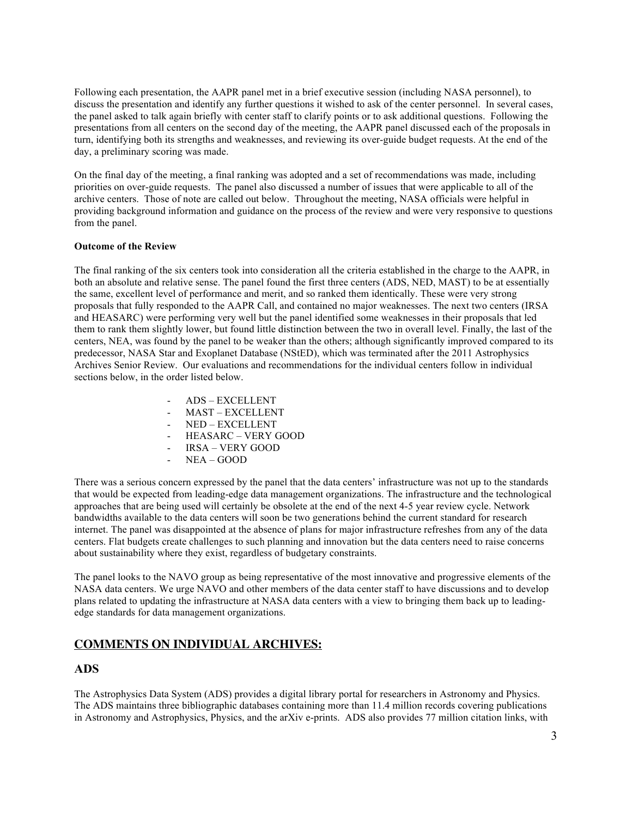Following each presentation, the AAPR panel met in a brief executive session (including NASA personnel), to discuss the presentation and identify any further questions it wished to ask of the center personnel. In several cases, the panel asked to talk again briefly with center staff to clarify points or to ask additional questions. Following the presentations from all centers on the second day of the meeting, the AAPR panel discussed each of the proposals in turn, identifying both its strengths and weaknesses, and reviewing its over-guide budget requests. At the end of the day, a preliminary scoring was made.

On the final day of the meeting, a final ranking was adopted and a set of recommendations was made, including priorities on over-guide requests. The panel also discussed a number of issues that were applicable to all of the archive centers. Those of note are called out below. Throughout the meeting, NASA officials were helpful in providing background information and guidance on the process of the review and were very responsive to questions from the panel.

#### **Outcome of the Review**

The final ranking of the six centers took into consideration all the criteria established in the charge to the AAPR, in both an absolute and relative sense. The panel found the first three centers (ADS, NED, MAST) to be at essentially the same, excellent level of performance and merit, and so ranked them identically. These were very strong proposals that fully responded to the AAPR Call, and contained no major weaknesses. The next two centers (IRSA and HEASARC) were performing very well but the panel identified some weaknesses in their proposals that led them to rank them slightly lower, but found little distinction between the two in overall level. Finally, the last of the centers, NEA, was found by the panel to be weaker than the others; although significantly improved compared to its predecessor, NASA Star and Exoplanet Database (NStED), which was terminated after the 2011 Astrophysics Archives Senior Review. Our evaluations and recommendations for the individual centers follow in individual sections below, in the order listed below.

- ADS EXCELLENT
- MAST-EXCELLENT
- NED EXCELLENT
- HEASARC VERY GOOD
- IRSA VERY GOOD
- NEA GOOD

There was a serious concern expressed by the panel that the data centers' infrastructure was not up to the standards that would be expected from leading-edge data management organizations. The infrastructure and the technological approaches that are being used will certainly be obsolete at the end of the next 4-5 year review cycle. Network bandwidths available to the data centers will soon be two generations behind the current standard for research internet. The panel was disappointed at the absence of plans for major infrastructure refreshes from any of the data centers. Flat budgets create challenges to such planning and innovation but the data centers need to raise concerns about sustainability where they exist, regardless of budgetary constraints.

The panel looks to the NAVO group as being representative of the most innovative and progressive elements of the NASA data centers. We urge NAVO and other members of the data center staff to have discussions and to develop plans related to updating the infrastructure at NASA data centers with a view to bringing them back up to leadingedge standards for data management organizations.

# **COMMENTS ON INDIVIDUAL ARCHIVES:**

## **ADS**

The Astrophysics Data System (ADS) provides a digital library portal for researchers in Astronomy and Physics. The ADS maintains three bibliographic databases containing more than 11.4 million records covering publications in Astronomy and Astrophysics, Physics, and the arXiv e-prints. ADS also provides 77 million citation links, with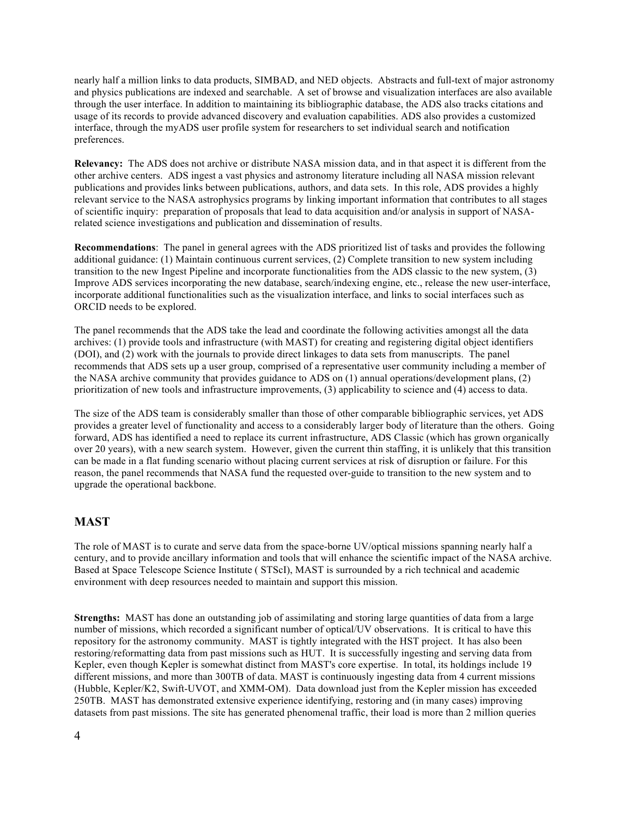nearly half a million links to data products, SIMBAD, and NED objects. Abstracts and full-text of major astronomy and physics publications are indexed and searchable. A set of browse and visualization interfaces are also available through the user interface. In addition to maintaining its bibliographic database, the ADS also tracks citations and usage of its records to provide advanced discovery and evaluation capabilities. ADS also provides a customized interface, through the myADS user profile system for researchers to set individual search and notification preferences.

**Relevancy:** The ADS does not archive or distribute NASA mission data, and in that aspect it is different from the other archive centers. ADS ingest a vast physics and astronomy literature including all NASA mission relevant publications and provides links between publications, authors, and data sets. In this role, ADS provides a highly relevant service to the NASA astrophysics programs by linking important information that contributes to all stages of scientific inquiry: preparation of proposals that lead to data acquisition and/or analysis in support of NASArelated science investigations and publication and dissemination of results.

**Recommendations**: The panel in general agrees with the ADS prioritized list of tasks and provides the following additional guidance: (1) Maintain continuous current services, (2) Complete transition to new system including transition to the new Ingest Pipeline and incorporate functionalities from the ADS classic to the new system, (3) Improve ADS services incorporating the new database, search/indexing engine, etc., release the new user-interface, incorporate additional functionalities such as the visualization interface, and links to social interfaces such as ORCID needs to be explored.

The panel recommends that the ADS take the lead and coordinate the following activities amongst all the data archives: (1) provide tools and infrastructure (with MAST) for creating and registering digital object identifiers (DOI), and (2) work with the journals to provide direct linkages to data sets from manuscripts. The panel recommends that ADS sets up a user group, comprised of a representative user community including a member of the NASA archive community that provides guidance to ADS on (1) annual operations/development plans, (2) prioritization of new tools and infrastructure improvements, (3) applicability to science and (4) access to data.

The size of the ADS team is considerably smaller than those of other comparable bibliographic services, yet ADS provides a greater level of functionality and access to a considerably larger body of literature than the others. Going forward, ADS has identified a need to replace its current infrastructure, ADS Classic (which has grown organically over 20 years), with a new search system. However, given the current thin staffing, it is unlikely that this transition can be made in a flat funding scenario without placing current services at risk of disruption or failure. For this reason, the panel recommends that NASA fund the requested over-guide to transition to the new system and to upgrade the operational backbone.

## **MAST**

The role of MAST is to curate and serve data from the space-borne UV/optical missions spanning nearly half a century, and to provide ancillary information and tools that will enhance the scientific impact of the NASA archive. Based at Space Telescope Science Institute ( STScI), MAST is surrounded by a rich technical and academic environment with deep resources needed to maintain and support this mission.

**Strengths:** MAST has done an outstanding job of assimilating and storing large quantities of data from a large number of missions, which recorded a significant number of optical/UV observations. It is critical to have this repository for the astronomy community. MAST is tightly integrated with the HST project. It has also been restoring/reformatting data from past missions such as HUT. It is successfully ingesting and serving data from Kepler, even though Kepler is somewhat distinct from MAST's core expertise. In total, its holdings include 19 different missions, and more than 300TB of data. MAST is continuously ingesting data from 4 current missions (Hubble, Kepler/K2, Swift-UVOT, and XMM-OM). Data download just from the Kepler mission has exceeded 250TB. MAST has demonstrated extensive experience identifying, restoring and (in many cases) improving datasets from past missions. The site has generated phenomenal traffic, their load is more than 2 million queries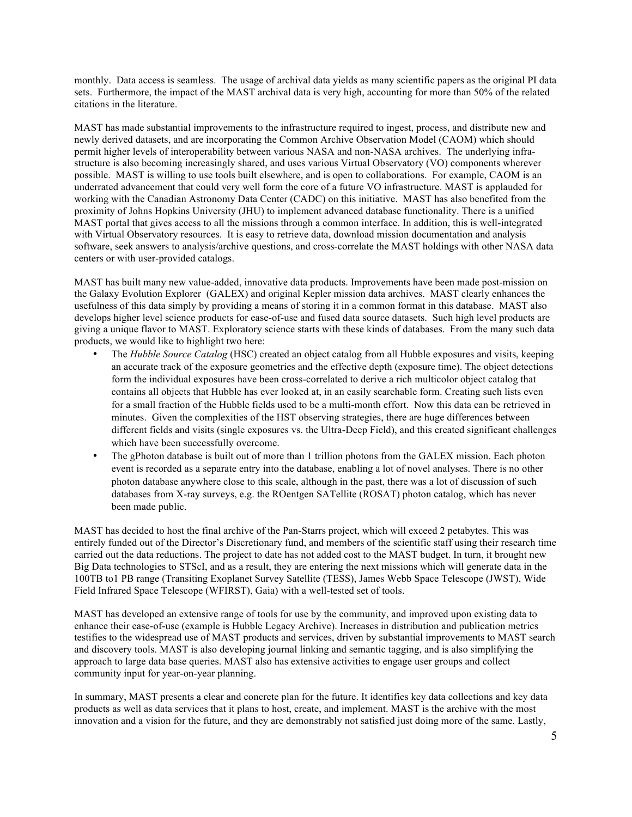monthly. Data access is seamless. The usage of archival data yields as many scientific papers as the original PI data sets. Furthermore, the impact of the MAST archival data is very high, accounting for more than 50% of the related citations in the literature.

MAST has made substantial improvements to the infrastructure required to ingest, process, and distribute new and newly derived datasets, and are incorporating the Common Archive Observation Model (CAOM) which should permit higher levels of interoperability between various NASA and non-NASA archives. The underlying infrastructure is also becoming increasingly shared, and uses various Virtual Observatory (VO) components wherever possible. MAST is willing to use tools built elsewhere, and is open to collaborations. For example, CAOM is an underrated advancement that could very well form the core of a future VO infrastructure. MAST is applauded for working with the Canadian Astronomy Data Center (CADC) on this initiative. MAST has also benefited from the proximity of Johns Hopkins University (JHU) to implement advanced database functionality. There is a unified MAST portal that gives access to all the missions through a common interface. In addition, this is well-integrated with Virtual Observatory resources. It is easy to retrieve data, download mission documentation and analysis software, seek answers to analysis/archive questions, and cross-correlate the MAST holdings with other NASA data centers or with user-provided catalogs.

MAST has built many new value-added, innovative data products. Improvements have been made post-mission on the Galaxy Evolution Explorer (GALEX) and original Kepler mission data archives. MAST clearly enhances the usefulness of this data simply by providing a means of storing it in a common format in this database. MAST also develops higher level science products for ease-of-use and fused data source datasets. Such high level products are giving a unique flavor to MAST. Exploratory science starts with these kinds of databases. From the many such data products, we would like to highlight two here:

- The *Hubble Source Catalog* (HSC) created an object catalog from all Hubble exposures and visits, keeping an accurate track of the exposure geometries and the effective depth (exposure time). The object detections form the individual exposures have been cross-correlated to derive a rich multicolor object catalog that contains all objects that Hubble has ever looked at, in an easily searchable form. Creating such lists even for a small fraction of the Hubble fields used to be a multi-month effort. Now this data can be retrieved in minutes. Given the complexities of the HST observing strategies, there are huge differences between different fields and visits (single exposures vs. the Ultra-Deep Field), and this created significant challenges which have been successfully overcome.
- The gPhoton database is built out of more than 1 trillion photons from the GALEX mission. Each photon event is recorded as a separate entry into the database, enabling a lot of novel analyses. There is no other photon database anywhere close to this scale, although in the past, there was a lot of discussion of such databases from X-ray surveys, e.g. the ROentgen SATellite (ROSAT) photon catalog, which has never been made public.

MAST has decided to host the final archive of the Pan-Starrs project, which will exceed 2 petabytes. This was entirely funded out of the Director's Discretionary fund, and members of the scientific staff using their research time carried out the data reductions. The project to date has not added cost to the MAST budget. In turn, it brought new Big Data technologies to STScI, and as a result, they are entering the next missions which will generate data in the 100TB to1 PB range (Transiting Exoplanet Survey Satellite (TESS), James Webb Space Telescope (JWST), Wide Field Infrared Space Telescope (WFIRST), Gaia) with a well-tested set of tools.

MAST has developed an extensive range of tools for use by the community, and improved upon existing data to enhance their ease-of-use (example is Hubble Legacy Archive). Increases in distribution and publication metrics testifies to the widespread use of MAST products and services, driven by substantial improvements to MAST search and discovery tools. MAST is also developing journal linking and semantic tagging, and is also simplifying the approach to large data base queries. MAST also has extensive activities to engage user groups and collect community input for year-on-year planning.

In summary, MAST presents a clear and concrete plan for the future. It identifies key data collections and key data products as well as data services that it plans to host, create, and implement. MAST is the archive with the most innovation and a vision for the future, and they are demonstrably not satisfied just doing more of the same. Lastly,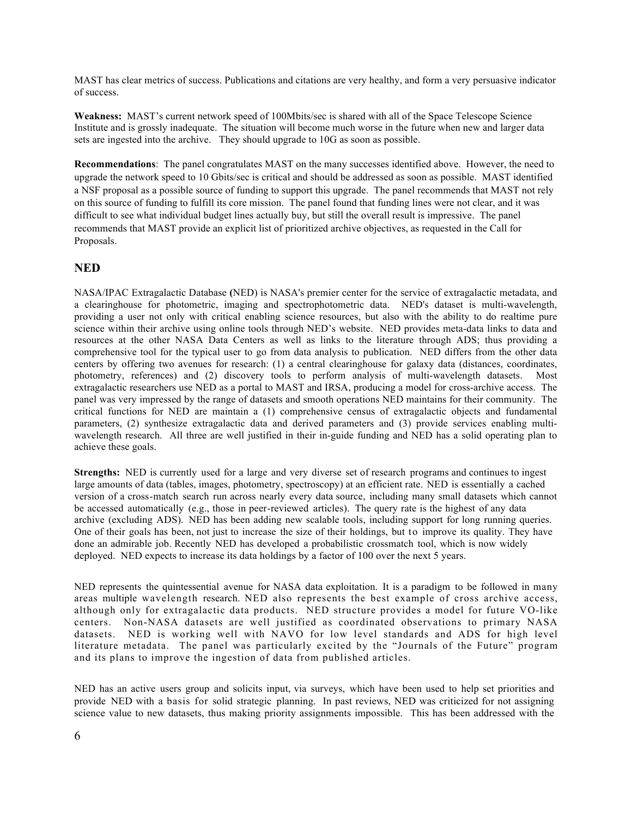MAST has clear metrics of success. Publications and citations are very healthy, and form a very persuasive indicator of success.

**Weakness:** MAST's current network speed of 100Mbits/sec is shared with all of the Space Telescope Science Institute and is grossly inadequate. The situation will become much worse in the future when new and larger data sets are ingested into the archive. They should upgrade to 10G as soon as possible.

**Recommendations**: The panel congratulates MAST on the many successes identified above. However, the need to upgrade the network speed to 10 Gbits/sec is critical and should be addressed as soon as possible. MAST identified a NSF proposal as a possible source of funding to support this upgrade. The panel recommends that MAST not rely on this source of funding to fulfill its core mission. The panel found that funding lines were not clear, and it was difficult to see what individual budget lines actually buy, but still the overall result is impressive. The panel recommends that MAST provide an explicit list of prioritized archive objectives, as requested in the Call for Proposals.

## **NED**

NASA/IPAC Extragalactic Database **(**NED) is NASA's premier center for the service of extragalactic metadata, and a clearinghouse for photometric, imaging and spectrophotometric data. NED's dataset is multi-wavelength, providing a user not only with critical enabling science resources, but also with the ability to do realtime pure science within their archive using online tools through NED's website. NED provides meta-data links to data and resources at the other NASA Data Centers as well as links to the literature through ADS; thus providing a comprehensive tool for the typical user to go from data analysis to publication. NED differs from the other data centers by offering two avenues for research: (1) a central clearinghouse for galaxy data (distances, coordinates, photometry, references) and (2) discovery tools to perform analysis of multi-wavelength datasets.Most extragalactic researchers use NED as a portal to MAST and IRSA, producing a model for cross-archive access. The panel was very impressed by the range of datasets and smooth operations NED maintains for their community. The critical functions for NED are maintain a (1) comprehensive census of extragalactic objects and fundamental parameters, (2) synthesize extragalactic data and derived parameters and (3) provide services enabling multiwavelength research. All three are well justified in their in-guide funding and NED has a solid operating plan to achieve these goals.

**Strengths:** NED is currently used for a large and very diverse set of research programs and continues to ingest large amounts of data (tables, images, photometry, spectroscopy) at an efficient rate. NED is essentially a cached version of a cross-match search run across nearly every data source, including many small datasets which cannot be accessed automatically (e.g., those in peer-reviewed articles). The query rate is the highest of any data archive (excluding ADS). NED has been adding new scalable tools, including support for long running queries. One of their goals has been, not just to increase the size of their holdings, but to improve its quality. They have done an admirable job. Recently NED has developed a probabilistic crossmatch tool, which is now widely deployed. NED expects to increase its data holdings by a factor of 100 over the next 5 years.

NED represents the quintessential avenue for NASA data exploitation. It is a paradigm to be followed in many areas multiple wavelength research. NED also represents the best example of cross archive access, although only for extragalactic data products. NED structure provides a model for future VO-like centers. Non-NASA datasets are well justified as coordinated observations to primary NASA datasets. NED is working well with NAVO for low level standards and ADS for high level literature metadata. The panel was particularly excited by the "Journals of the Future" program and its plans to improve the ingestion of data from published articles.

NED has an active users group and solicits input, via surveys, which have been used to help set priorities and provide NED with a basis for solid strategic planning. In past reviews, NED was criticized for not assigning science value to new datasets, thus making priority assignments impossible. This has been addressed with the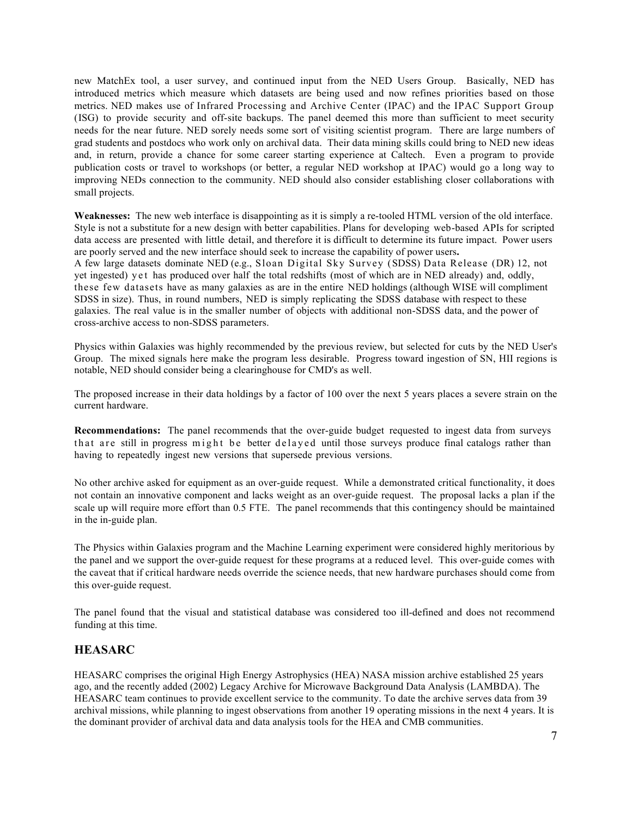new MatchEx tool, a user survey, and continued input from the NED Users Group. Basically, NED has introduced metrics which measure which datasets are being used and now refines priorities based on those metrics. NED makes use of Infrared Processing and Archive Center (IPAC) and the IPAC Support Group (ISG) to provide security and off-site backups. The panel deemed this more than sufficient to meet security needs for the near future. NED sorely needs some sort of visiting scientist program. There are large numbers of grad students and postdocs who work only on archival data. Their data mining skills could bring to NED new ideas and, in return, provide a chance for some career starting experience at Caltech. Even a program to provide publication costs or travel to workshops (or better, a regular NED workshop at IPAC) would go a long way to improving NEDs connection to the community. NED should also consider establishing closer collaborations with small projects.

**Weaknesses:** The new web interface is disappointing as it is simply a re-tooled HTML version of the old interface. Style is not a substitute for a new design with better capabilities. Plans for developing web-based APIs for scripted data access are presented with little detail, and therefore it is difficult to determine its future impact. Power users are poorly served and the new interface should seek to increase the capability of power users**.** A few large datasets dominate NED (e.g., Sloan Digital Sky Survey (SDSS) Data Release (DR) 12, not yet ingested) yet has produced over half the total redshifts (most of which are in NED already) and, oddly, these few datasets have as many galaxies as are in the entire NED holdings (although WISE will compliment SDSS in size). Thus, in round numbers, NED is simply replicating the SDSS database with respect to these galaxies. The real value is in the smaller number of objects with additional non-SDSS data, and the power of cross-archive access to non-SDSS parameters.

Physics within Galaxies was highly recommended by the previous review, but selected for cuts by the NED User's Group. The mixed signals here make the program less desirable. Progress toward ingestion of SN, HII regions is notable, NED should consider being a clearinghouse for CMD's as well.

The proposed increase in their data holdings by a factor of 100 over the next 5 years places a severe strain on the current hardware.

**Recommendations:** The panel recommends that the over-guide budget requested to ingest data from surveys that are still in progress might be better delayed until those surveys produce final catalogs rather than having to repeatedly ingest new versions that supersede previous versions.

No other archive asked for equipment as an over-guide request. While a demonstrated critical functionality, it does not contain an innovative component and lacks weight as an over-guide request. The proposal lacks a plan if the scale up will require more effort than 0.5 FTE. The panel recommends that this contingency should be maintained in the in-guide plan.

The Physics within Galaxies program and the Machine Learning experiment were considered highly meritorious by the panel and we support the over-guide request for these programs at a reduced level. This over-guide comes with the caveat that if critical hardware needs override the science needs, that new hardware purchases should come from this over-guide request.

The panel found that the visual and statistical database was considered too ill-defined and does not recommend funding at this time.

### **HEASARC**

HEASARC comprises the original High Energy Astrophysics (HEA) NASA mission archive established 25 years ago, and the recently added (2002) Legacy Archive for Microwave Background Data Analysis (LAMBDA). The HEASARC team continues to provide excellent service to the community. To date the archive serves data from 39 archival missions, while planning to ingest observations from another 19 operating missions in the next 4 years. It is the dominant provider of archival data and data analysis tools for the HEA and CMB communities.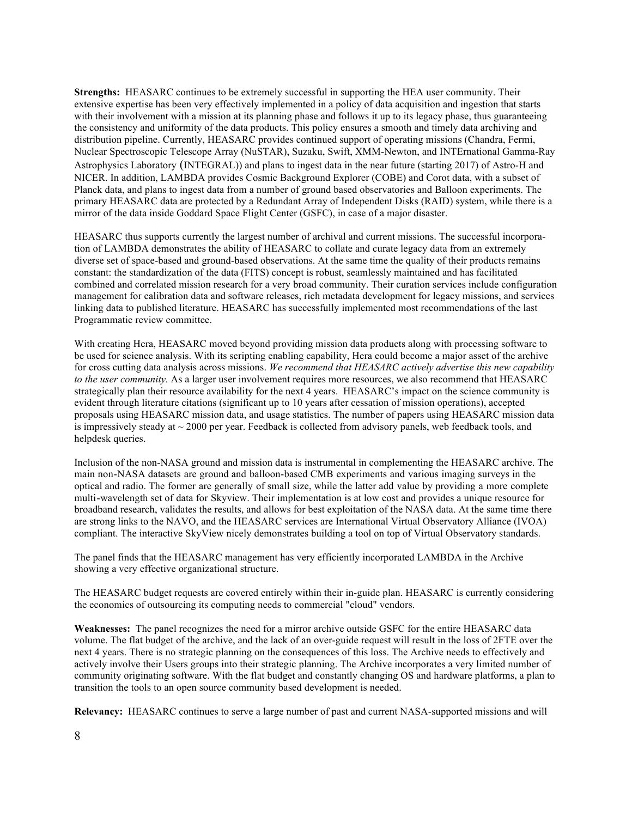**Strengths:** HEASARC continues to be extremely successful in supporting the HEA user community. Their extensive expertise has been very effectively implemented in a policy of data acquisition and ingestion that starts with their involvement with a mission at its planning phase and follows it up to its legacy phase, thus guaranteeing the consistency and uniformity of the data products. This policy ensures a smooth and timely data archiving and distribution pipeline. Currently, HEASARC provides continued support of operating missions (Chandra, Fermi, Nuclear Spectroscopic Telescope Array (NuSTAR), Suzaku, Swift, XMM-Newton, and INTErnational Gamma-Ray Astrophysics Laboratory (INTEGRAL)) and plans to ingest data in the near future (starting 2017) of Astro-H and NICER. In addition, LAMBDA provides Cosmic Background Explorer (COBE) and Corot data, with a subset of Planck data, and plans to ingest data from a number of ground based observatories and Balloon experiments. The primary HEASARC data are protected by a Redundant Array of Independent Disks (RAID) system, while there is a mirror of the data inside Goddard Space Flight Center (GSFC), in case of a major disaster.

HEASARC thus supports currently the largest number of archival and current missions. The successful incorporation of LAMBDA demonstrates the ability of HEASARC to collate and curate legacy data from an extremely diverse set of space-based and ground-based observations. At the same time the quality of their products remains constant: the standardization of the data (FITS) concept is robust, seamlessly maintained and has facilitated combined and correlated mission research for a very broad community. Their curation services include configuration management for calibration data and software releases, rich metadata development for legacy missions, and services linking data to published literature. HEASARC has successfully implemented most recommendations of the last Programmatic review committee.

With creating Hera, HEASARC moved beyond providing mission data products along with processing software to be used for science analysis. With its scripting enabling capability, Hera could become a major asset of the archive for cross cutting data analysis across missions. *We recommend that HEASARC actively advertise this new capability to the user community.* As a larger user involvement requires more resources, we also recommend that HEASARC strategically plan their resource availability for the next 4 years. HEASARC's impact on the science community is evident through literature citations (significant up to 10 years after cessation of mission operations), accepted proposals using HEASARC mission data, and usage statistics. The number of papers using HEASARC mission data is impressively steady at  $\sim$  2000 per year. Feedback is collected from advisory panels, web feedback tools, and helpdesk queries.

Inclusion of the non-NASA ground and mission data is instrumental in complementing the HEASARC archive. The main non-NASA datasets are ground and balloon-based CMB experiments and various imaging surveys in the optical and radio. The former are generally of small size, while the latter add value by providing a more complete multi-wavelength set of data for Skyview. Their implementation is at low cost and provides a unique resource for broadband research, validates the results, and allows for best exploitation of the NASA data. At the same time there are strong links to the NAVO, and the HEASARC services are International Virtual Observatory Alliance (IVOA) compliant. The interactive SkyView nicely demonstrates building a tool on top of Virtual Observatory standards.

The panel finds that the HEASARC management has very efficiently incorporated LAMBDA in the Archive showing a very effective organizational structure.

The HEASARC budget requests are covered entirely within their in-guide plan. HEASARC is currently considering the economics of outsourcing its computing needs to commercial "cloud" vendors.

**Weaknesses:** The panel recognizes the need for a mirror archive outside GSFC for the entire HEASARC data volume. The flat budget of the archive, and the lack of an over-guide request will result in the loss of 2FTE over the next 4 years. There is no strategic planning on the consequences of this loss. The Archive needs to effectively and actively involve their Users groups into their strategic planning. The Archive incorporates a very limited number of community originating software. With the flat budget and constantly changing OS and hardware platforms, a plan to transition the tools to an open source community based development is needed.

**Relevancy:** HEASARC continues to serve a large number of past and current NASA-supported missions and will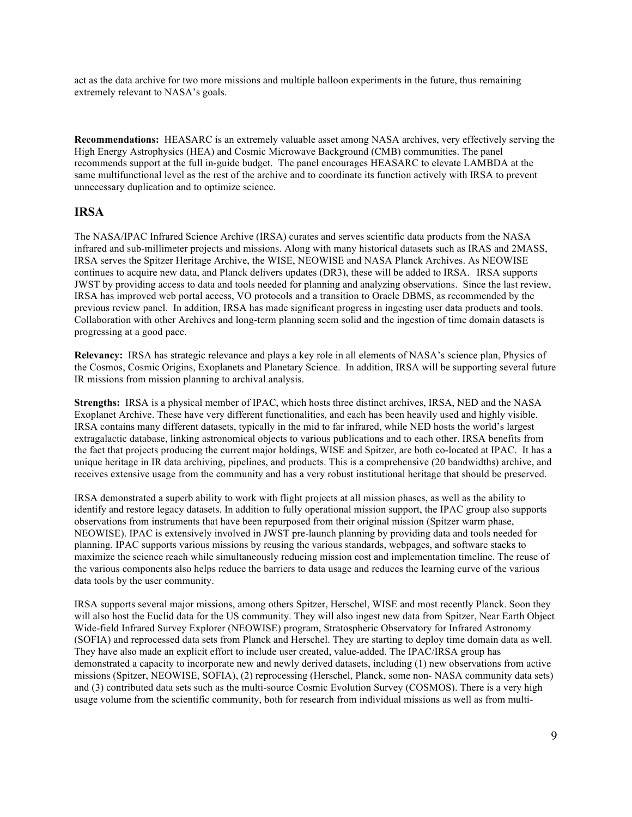act as the data archive for two more missions and multiple balloon experiments in the future, thus remaining extremely relevant to NASA's goals.

**Recommendations:** HEASARC is an extremely valuable asset among NASA archives, very effectively serving the High Energy Astrophysics (HEA) and Cosmic Microwave Background (CMB) communities. The panel recommends support at the full in-guide budget.The panel encourages HEASARC to elevate LAMBDA at the same multifunctional level as the rest of the archive and to coordinate its function actively with IRSA to prevent unnecessary duplication and to optimize science.

## **IRSA**

The NASA/IPAC Infrared Science Archive (IRSA) curates and serves scientific data products from the NASA infrared and sub-millimeter projects and missions. Along with many historical datasets such as IRAS and 2MASS, IRSA serves the Spitzer Heritage Archive, the WISE, NEOWISE and NASA Planck Archives. As NEOWISE continues to acquire new data, and Planck delivers updates (DR3), these will be added to IRSA. IRSA supports JWST by providing access to data and tools needed for planning and analyzing observations. Since the last review, IRSA has improved web portal access, VO protocols and a transition to Oracle DBMS, as recommended by the previous review panel. In addition, IRSA has made significant progress in ingesting user data products and tools. Collaboration with other Archives and long-term planning seem solid and the ingestion of time domain datasets is progressing at a good pace.

**Relevancy:** IRSA has strategic relevance and plays a key role in all elements of NASA's science plan, Physics of the Cosmos, Cosmic Origins, Exoplanets and Planetary Science. In addition, IRSA will be supporting several future IR missions from mission planning to archival analysis.

**Strengths:** IRSA is a physical member of IPAC, which hosts three distinct archives, IRSA, NED and the NASA Exoplanet Archive. These have very different functionalities, and each has been heavily used and highly visible. IRSA contains many different datasets, typically in the mid to far infrared, while NED hosts the world's largest extragalactic database, linking astronomical objects to various publications and to each other. IRSA benefits from the fact that projects producing the current major holdings, WISE and Spitzer, are both co-located at IPAC. It has a unique heritage in IR data archiving, pipelines, and products. This is a comprehensive (20 bandwidths) archive, and receives extensive usage from the community and has a very robust institutional heritage that should be preserved.

IRSA demonstrated a superb ability to work with flight projects at all mission phases, as well as the ability to identify and restore legacy datasets. In addition to fully operational mission support, the IPAC group also supports observations from instruments that have been repurposed from their original mission (Spitzer warm phase, NEOWISE). IPAC is extensively involved in JWST pre-launch planning by providing data and tools needed for planning. IPAC supports various missions by reusing the various standards, webpages, and software stacks to maximize the science reach while simultaneously reducing mission cost and implementation timeline. The reuse of the various components also helps reduce the barriers to data usage and reduces the learning curve of the various data tools by the user community.

IRSA supports several major missions, among others Spitzer, Herschel, WISE and most recently Planck. Soon they will also host the Euclid data for the US community. They will also ingest new data from Spitzer, Near Earth Object Wide-field Infrared Survey Explorer (NEOWISE) program, Stratospheric Observatory for Infrared Astronomy (SOFIA) and reprocessed data sets from Planck and Herschel. They are starting to deploy time domain data as well. They have also made an explicit effort to include user created, value-added. The IPAC/IRSA group has demonstrated a capacity to incorporate new and newly derived datasets, including (1) new observations from active missions (Spitzer, NEOWISE, SOFIA), (2) reprocessing (Herschel, Planck, some non- NASA community data sets) and (3) contributed data sets such as the multi-source Cosmic Evolution Survey (COSMOS). There is a very high usage volume from the scientific community, both for research from individual missions as well as from multi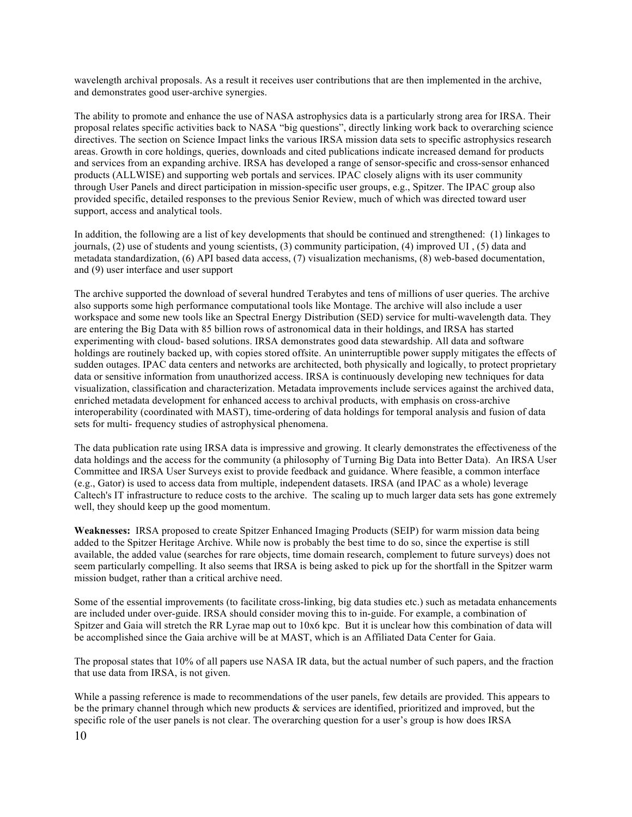wavelength archival proposals. As a result it receives user contributions that are then implemented in the archive, and demonstrates good user-archive synergies.

The ability to promote and enhance the use of NASA astrophysics data is a particularly strong area for IRSA. Their proposal relates specific activities back to NASA "big questions", directly linking work back to overarching science directives. The section on Science Impact links the various IRSA mission data sets to specific astrophysics research areas. Growth in core holdings, queries, downloads and cited publications indicate increased demand for products and services from an expanding archive. IRSA has developed a range of sensor-specific and cross-sensor enhanced products (ALLWISE) and supporting web portals and services. IPAC closely aligns with its user community through User Panels and direct participation in mission-specific user groups, e.g., Spitzer. The IPAC group also provided specific, detailed responses to the previous Senior Review, much of which was directed toward user support, access and analytical tools.

In addition, the following are a list of key developments that should be continued and strengthened: (1) linkages to journals, (2) use of students and young scientists, (3) community participation, (4) improved UI , (5) data and metadata standardization, (6) API based data access, (7) visualization mechanisms, (8) web-based documentation, and (9) user interface and user support

The archive supported the download of several hundred Terabytes and tens of millions of user queries. The archive also supports some high performance computational tools like Montage. The archive will also include a user workspace and some new tools like an Spectral Energy Distribution (SED) service for multi-wavelength data. They are entering the Big Data with 85 billion rows of astronomical data in their holdings, and IRSA has started experimenting with cloud- based solutions. IRSA demonstrates good data stewardship. All data and software holdings are routinely backed up, with copies stored offsite. An uninterruptible power supply mitigates the effects of sudden outages. IPAC data centers and networks are architected, both physically and logically, to protect proprietary data or sensitive information from unauthorized access. IRSA is continuously developing new techniques for data visualization, classification and characterization. Metadata improvements include services against the archived data, enriched metadata development for enhanced access to archival products, with emphasis on cross-archive interoperability (coordinated with MAST), time-ordering of data holdings for temporal analysis and fusion of data sets for multi- frequency studies of astrophysical phenomena.

The data publication rate using IRSA data is impressive and growing. It clearly demonstrates the effectiveness of the data holdings and the access for the community (a philosophy of Turning Big Data into Better Data). An IRSA User Committee and IRSA User Surveys exist to provide feedback and guidance. Where feasible, a common interface (e.g., Gator) is used to access data from multiple, independent datasets. IRSA (and IPAC as a whole) leverage Caltech's IT infrastructure to reduce costs to the archive. The scaling up to much larger data sets has gone extremely well, they should keep up the good momentum.

**Weaknesses:** IRSA proposed to create Spitzer Enhanced Imaging Products (SEIP) for warm mission data being added to the Spitzer Heritage Archive. While now is probably the best time to do so, since the expertise is still available, the added value (searches for rare objects, time domain research, complement to future surveys) does not seem particularly compelling. It also seems that IRSA is being asked to pick up for the shortfall in the Spitzer warm mission budget, rather than a critical archive need.

Some of the essential improvements (to facilitate cross-linking, big data studies etc.) such as metadata enhancements are included under over-guide. IRSA should consider moving this to in-guide. For example, a combination of Spitzer and Gaia will stretch the RR Lyrae map out to 10x6 kpc. But it is unclear how this combination of data will be accomplished since the Gaia archive will be at MAST, which is an Affiliated Data Center for Gaia.

The proposal states that 10% of all papers use NASA IR data, but the actual number of such papers, and the fraction that use data from IRSA, is not given.

While a passing reference is made to recommendations of the user panels, few details are provided. This appears to be the primary channel through which new products & services are identified, prioritized and improved, but the specific role of the user panels is not clear. The overarching question for a user's group is how does IRSA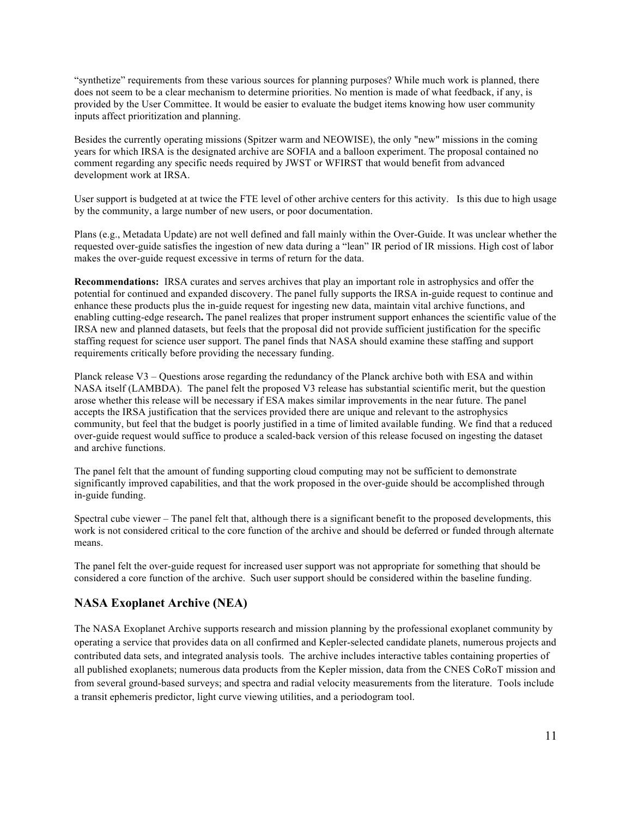"synthetize" requirements from these various sources for planning purposes? While much work is planned, there does not seem to be a clear mechanism to determine priorities. No mention is made of what feedback, if any, is provided by the User Committee. It would be easier to evaluate the budget items knowing how user community inputs affect prioritization and planning.

Besides the currently operating missions (Spitzer warm and NEOWISE), the only "new" missions in the coming years for which IRSA is the designated archive are SOFIA and a balloon experiment. The proposal contained no comment regarding any specific needs required by JWST or WFIRST that would benefit from advanced development work at IRSA.

User support is budgeted at at twice the FTE level of other archive centers for this activity. Is this due to high usage by the community, a large number of new users, or poor documentation.

Plans (e.g., Metadata Update) are not well defined and fall mainly within the Over-Guide. It was unclear whether the requested over-guide satisfies the ingestion of new data during a "lean" IR period of IR missions. High cost of labor makes the over-guide request excessive in terms of return for the data.

**Recommendations:** IRSA curates and serves archives that play an important role in astrophysics and offer the potential for continued and expanded discovery. The panel fully supports the IRSA in-guide request to continue and enhance these products plus the in-guide request for ingesting new data, maintain vital archive functions, and enabling cutting-edge research**.** The panel realizes that proper instrument support enhances the scientific value of the IRSA new and planned datasets, but feels that the proposal did not provide sufficient justification for the specific staffing request for science user support. The panel finds that NASA should examine these staffing and support requirements critically before providing the necessary funding.

Planck release V3 – Questions arose regarding the redundancy of the Planck archive both with ESA and within NASA itself (LAMBDA). The panel felt the proposed V3 release has substantial scientific merit, but the question arose whether this release will be necessary if ESA makes similar improvements in the near future. The panel accepts the IRSA justification that the services provided there are unique and relevant to the astrophysics community, but feel that the budget is poorly justified in a time of limited available funding. We find that a reduced over-guide request would suffice to produce a scaled-back version of this release focused on ingesting the dataset and archive functions.

The panel felt that the amount of funding supporting cloud computing may not be sufficient to demonstrate significantly improved capabilities, and that the work proposed in the over-guide should be accomplished through in-guide funding.

Spectral cube viewer – The panel felt that, although there is a significant benefit to the proposed developments, this work is not considered critical to the core function of the archive and should be deferred or funded through alternate means.

The panel felt the over-guide request for increased user support was not appropriate for something that should be considered a core function of the archive. Such user support should be considered within the baseline funding.

# **NASA Exoplanet Archive (NEA)**

The NASA Exoplanet Archive supports research and mission planning by the professional exoplanet community by operating a service that provides data on all confirmed and Kepler-selected candidate planets, numerous projects and contributed data sets, and integrated analysis tools. The archive includes interactive tables containing properties of all published exoplanets; numerous data products from the Kepler mission, data from the CNES CoRoT mission and from several ground-based surveys; and spectra and radial velocity measurements from the literature. Tools include a transit ephemeris predictor, light curve viewing utilities, and a periodogram tool.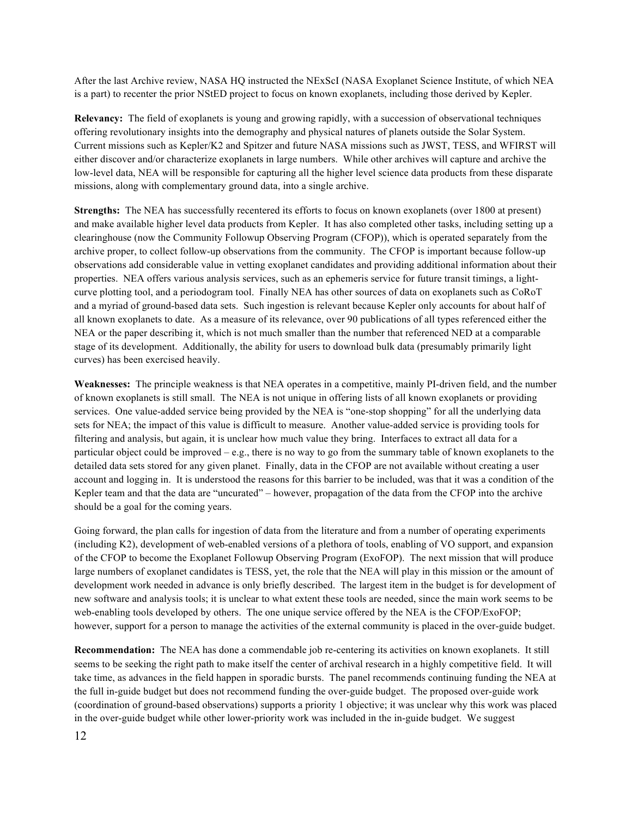After the last Archive review, NASA HQ instructed the NExScI (NASA Exoplanet Science Institute, of which NEA is a part) to recenter the prior NStED project to focus on known exoplanets, including those derived by Kepler.

**Relevancy:** The field of exoplanets is young and growing rapidly, with a succession of observational techniques offering revolutionary insights into the demography and physical natures of planets outside the Solar System. Current missions such as Kepler/K2 and Spitzer and future NASA missions such as JWST, TESS, and WFIRST will either discover and/or characterize exoplanets in large numbers. While other archives will capture and archive the low-level data, NEA will be responsible for capturing all the higher level science data products from these disparate missions, along with complementary ground data, into a single archive.

**Strengths:** The NEA has successfully recentered its efforts to focus on known exoplanets (over 1800 at present) and make available higher level data products from Kepler. It has also completed other tasks, including setting up a clearinghouse (now the Community Followup Observing Program (CFOP)), which is operated separately from the archive proper, to collect follow-up observations from the community. The CFOP is important because follow-up observations add considerable value in vetting exoplanet candidates and providing additional information about their properties. NEA offers various analysis services, such as an ephemeris service for future transit timings, a lightcurve plotting tool, and a periodogram tool. Finally NEA has other sources of data on exoplanets such as CoRoT and a myriad of ground-based data sets. Such ingestion is relevant because Kepler only accounts for about half of all known exoplanets to date. As a measure of its relevance, over 90 publications of all types referenced either the NEA or the paper describing it, which is not much smaller than the number that referenced NED at a comparable stage of its development. Additionally, the ability for users to download bulk data (presumably primarily light curves) has been exercised heavily.

**Weaknesses:** The principle weakness is that NEA operates in a competitive, mainly PI-driven field, and the number of known exoplanets is still small. The NEA is not unique in offering lists of all known exoplanets or providing services. One value-added service being provided by the NEA is "one-stop shopping" for all the underlying data sets for NEA; the impact of this value is difficult to measure. Another value-added service is providing tools for filtering and analysis, but again, it is unclear how much value they bring. Interfaces to extract all data for a particular object could be improved  $-e.g.,$  there is no way to go from the summary table of known exoplanets to the detailed data sets stored for any given planet. Finally, data in the CFOP are not available without creating a user account and logging in. It is understood the reasons for this barrier to be included, was that it was a condition of the Kepler team and that the data are "uncurated" – however, propagation of the data from the CFOP into the archive should be a goal for the coming years.

Going forward, the plan calls for ingestion of data from the literature and from a number of operating experiments (including K2), development of web-enabled versions of a plethora of tools, enabling of VO support, and expansion of the CFOP to become the Exoplanet Followup Observing Program (ExoFOP). The next mission that will produce large numbers of exoplanet candidates is TESS, yet, the role that the NEA will play in this mission or the amount of development work needed in advance is only briefly described. The largest item in the budget is for development of new software and analysis tools; it is unclear to what extent these tools are needed, since the main work seems to be web-enabling tools developed by others. The one unique service offered by the NEA is the CFOP/ExoFOP; however, support for a person to manage the activities of the external community is placed in the over-guide budget.

**Recommendation:** The NEA has done a commendable job re-centering its activities on known exoplanets. It still seems to be seeking the right path to make itself the center of archival research in a highly competitive field. It will take time, as advances in the field happen in sporadic bursts. The panel recommends continuing funding the NEA at the full in-guide budget but does not recommend funding the over-guide budget. The proposed over-guide work (coordination of ground-based observations) supports a priority 1 objective; it was unclear why this work was placed in the over-guide budget while other lower-priority work was included in the in-guide budget. We suggest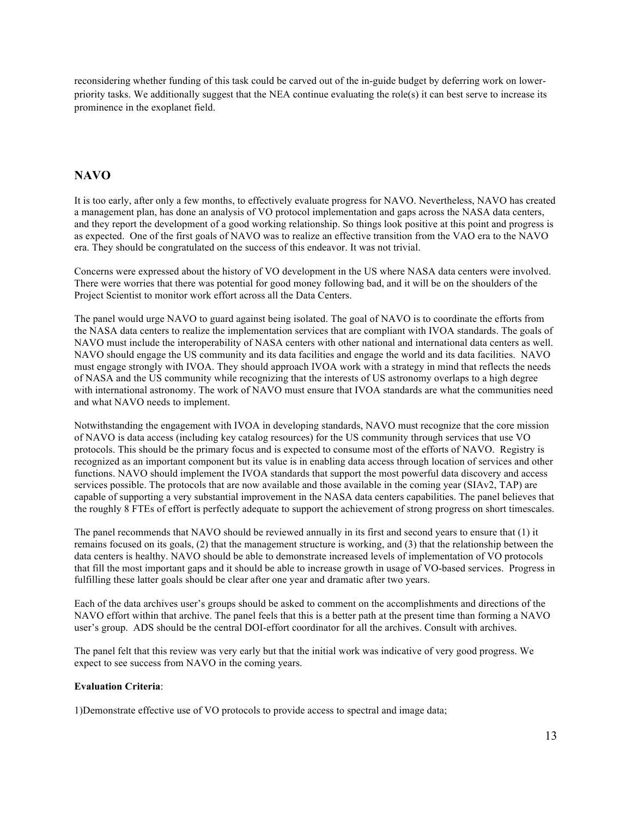reconsidering whether funding of this task could be carved out of the in-guide budget by deferring work on lowerpriority tasks. We additionally suggest that the NEA continue evaluating the role(s) it can best serve to increase its prominence in the exoplanet field.

# **NAVO**

It is too early, after only a few months, to effectively evaluate progress for NAVO. Nevertheless, NAVO has created a management plan, has done an analysis of VO protocol implementation and gaps across the NASA data centers, and they report the development of a good working relationship. So things look positive at this point and progress is as expected. One of the first goals of NAVO was to realize an effective transition from the VAO era to the NAVO era. They should be congratulated on the success of this endeavor. It was not trivial.

Concerns were expressed about the history of VO development in the US where NASA data centers were involved. There were worries that there was potential for good money following bad, and it will be on the shoulders of the Project Scientist to monitor work effort across all the Data Centers.

The panel would urge NAVO to guard against being isolated. The goal of NAVO is to coordinate the efforts from the NASA data centers to realize the implementation services that are compliant with IVOA standards. The goals of NAVO must include the interoperability of NASA centers with other national and international data centers as well. NAVO should engage the US community and its data facilities and engage the world and its data facilities. NAVO must engage strongly with IVOA. They should approach IVOA work with a strategy in mind that reflects the needs of NASA and the US community while recognizing that the interests of US astronomy overlaps to a high degree with international astronomy. The work of NAVO must ensure that IVOA standards are what the communities need and what NAVO needs to implement.

Notwithstanding the engagement with IVOA in developing standards, NAVO must recognize that the core mission of NAVO is data access (including key catalog resources) for the US community through services that use VO protocols. This should be the primary focus and is expected to consume most of the efforts of NAVO. Registry is recognized as an important component but its value is in enabling data access through location of services and other functions. NAVO should implement the IVOA standards that support the most powerful data discovery and access services possible. The protocols that are now available and those available in the coming year (SIAv2, TAP) are capable of supporting a very substantial improvement in the NASA data centers capabilities. The panel believes that the roughly 8 FTEs of effort is perfectly adequate to support the achievement of strong progress on short timescales.

The panel recommends that NAVO should be reviewed annually in its first and second years to ensure that (1) it remains focused on its goals, (2) that the management structure is working, and (3) that the relationship between the data centers is healthy. NAVO should be able to demonstrate increased levels of implementation of VO protocols that fill the most important gaps and it should be able to increase growth in usage of VO-based services. Progress in fulfilling these latter goals should be clear after one year and dramatic after two years.

Each of the data archives user's groups should be asked to comment on the accomplishments and directions of the NAVO effort within that archive. The panel feels that this is a better path at the present time than forming a NAVO user's group. ADS should be the central DOI-effort coordinator for all the archives. Consult with archives.

The panel felt that this review was very early but that the initial work was indicative of very good progress. We expect to see success from NAVO in the coming years.

#### **Evaluation Criteria**:

1)Demonstrate effective use of VO protocols to provide access to spectral and image data;